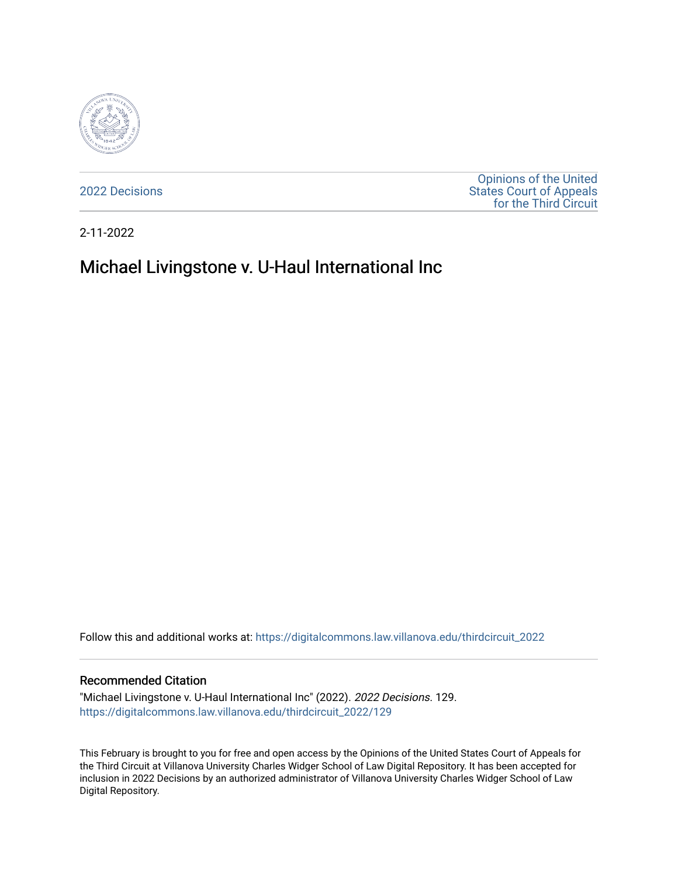

[2022 Decisions](https://digitalcommons.law.villanova.edu/thirdcircuit_2022)

[Opinions of the United](https://digitalcommons.law.villanova.edu/thirdcircuit)  [States Court of Appeals](https://digitalcommons.law.villanova.edu/thirdcircuit)  [for the Third Circuit](https://digitalcommons.law.villanova.edu/thirdcircuit) 

2-11-2022

# Michael Livingstone v. U-Haul International Inc

Follow this and additional works at: [https://digitalcommons.law.villanova.edu/thirdcircuit\\_2022](https://digitalcommons.law.villanova.edu/thirdcircuit_2022?utm_source=digitalcommons.law.villanova.edu%2Fthirdcircuit_2022%2F129&utm_medium=PDF&utm_campaign=PDFCoverPages) 

#### Recommended Citation

"Michael Livingstone v. U-Haul International Inc" (2022). 2022 Decisions. 129. [https://digitalcommons.law.villanova.edu/thirdcircuit\\_2022/129](https://digitalcommons.law.villanova.edu/thirdcircuit_2022/129?utm_source=digitalcommons.law.villanova.edu%2Fthirdcircuit_2022%2F129&utm_medium=PDF&utm_campaign=PDFCoverPages)

This February is brought to you for free and open access by the Opinions of the United States Court of Appeals for the Third Circuit at Villanova University Charles Widger School of Law Digital Repository. It has been accepted for inclusion in 2022 Decisions by an authorized administrator of Villanova University Charles Widger School of Law Digital Repository.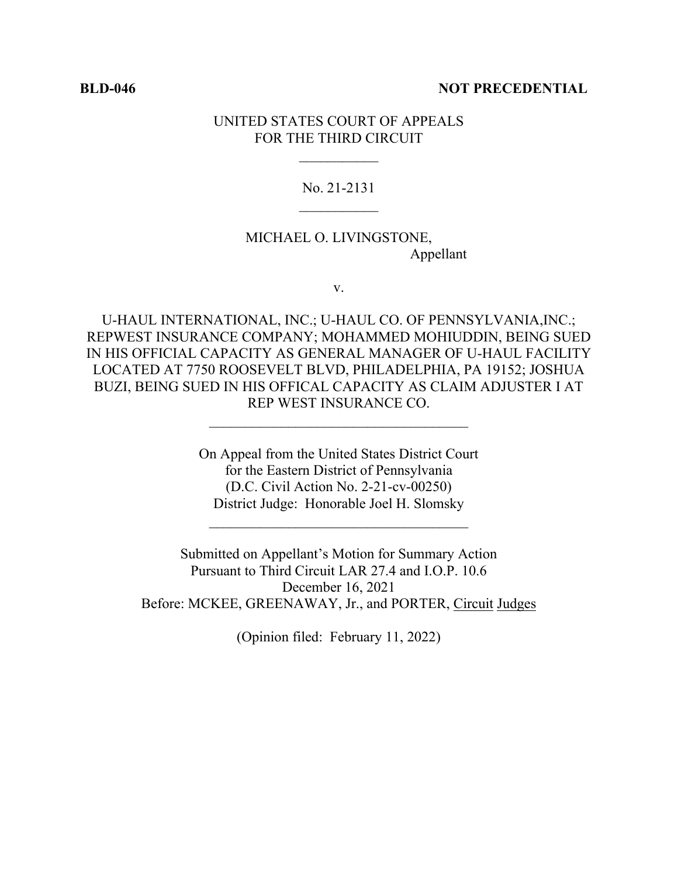#### **BLD-046 NOT PRECEDENTIAL**

## UNITED STATES COURT OF APPEALS FOR THE THIRD CIRCUIT

#### No. 21-2131

# MICHAEL O. LIVINGSTONE, Appellant

v.

U-HAUL INTERNATIONAL, INC.; U-HAUL CO. OF PENNSYLVANIA,INC.; REPWEST INSURANCE COMPANY; MOHAMMED MOHIUDDIN, BEING SUED IN HIS OFFICIAL CAPACITY AS GENERAL MANAGER OF U-HAUL FACILITY LOCATED AT 7750 ROOSEVELT BLVD, PHILADELPHIA, PA 19152; JOSHUA BUZI, BEING SUED IN HIS OFFICAL CAPACITY AS CLAIM ADJUSTER I AT REP WEST INSURANCE CO.

 $\mathcal{L}_\text{max}$ 

On Appeal from the United States District Court for the Eastern District of Pennsylvania (D.C. Civil Action No. 2-21-cv-00250) District Judge: Honorable Joel H. Slomsky

 $\mathcal{L}_\text{max}$ 

Submitted on Appellant's Motion for Summary Action Pursuant to Third Circuit LAR 27.4 and I.O.P. 10.6 December 16, 2021 Before: MCKEE, GREENAWAY, Jr., and PORTER, Circuit Judges

(Opinion filed: February 11, 2022)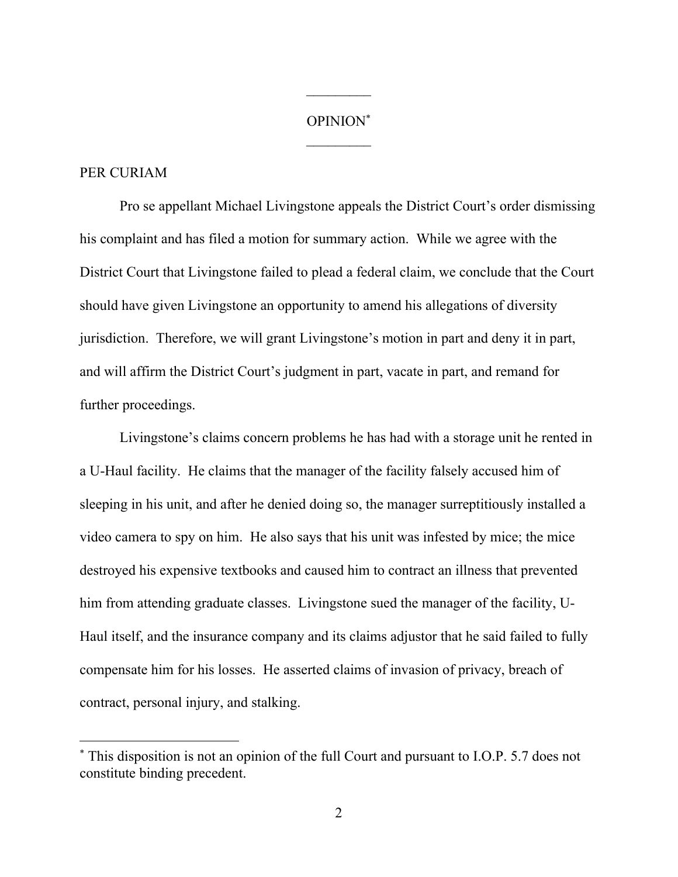#### OPINION\*

 $\frac{1}{2}$ 

### PER CURIAM

Pro se appellant Michael Livingstone appeals the District Court's order dismissing his complaint and has filed a motion for summary action. While we agree with the District Court that Livingstone failed to plead a federal claim, we conclude that the Court should have given Livingstone an opportunity to amend his allegations of diversity jurisdiction. Therefore, we will grant Livingstone's motion in part and deny it in part, and will affirm the District Court's judgment in part, vacate in part, and remand for further proceedings.

Livingstone's claims concern problems he has had with a storage unit he rented in a U-Haul facility. He claims that the manager of the facility falsely accused him of sleeping in his unit, and after he denied doing so, the manager surreptitiously installed a video camera to spy on him. He also says that his unit was infested by mice; the mice destroyed his expensive textbooks and caused him to contract an illness that prevented him from attending graduate classes. Livingstone sued the manager of the facility, U-Haul itself, and the insurance company and its claims adjustor that he said failed to fully compensate him for his losses. He asserted claims of invasion of privacy, breach of contract, personal injury, and stalking.

<sup>\*</sup> This disposition is not an opinion of the full Court and pursuant to I.O.P. 5.7 does not constitute binding precedent.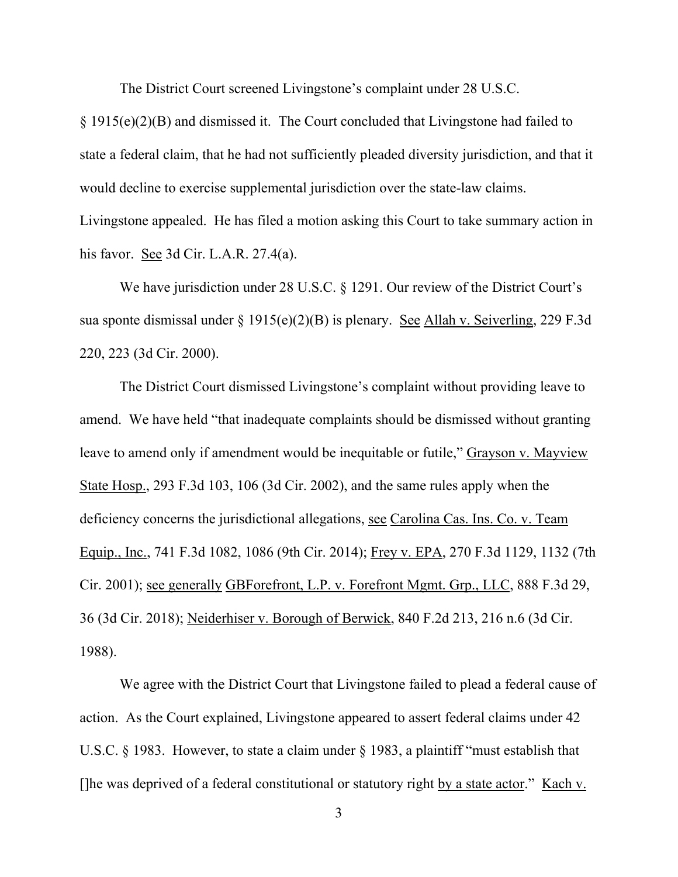The District Court screened Livingstone's complaint under 28 U.S.C.

§ 1915(e)(2)(B) and dismissed it. The Court concluded that Livingstone had failed to state a federal claim, that he had not sufficiently pleaded diversity jurisdiction, and that it would decline to exercise supplemental jurisdiction over the state-law claims. Livingstone appealed. He has filed a motion asking this Court to take summary action in

his favor. See 3d Cir. L.A.R. 27.4(a).

We have jurisdiction under 28 U.S.C. § 1291. Our review of the District Court's sua sponte dismissal under § 1915(e)(2)(B) is plenary. See Allah v. Seiverling, 229 F.3d 220, 223 (3d Cir. 2000).

The District Court dismissed Livingstone's complaint without providing leave to amend. We have held "that inadequate complaints should be dismissed without granting leave to amend only if amendment would be inequitable or futile," Grayson v. Mayview State Hosp., 293 F.3d 103, 106 (3d Cir. 2002), and the same rules apply when the deficiency concerns the jurisdictional allegations, see Carolina Cas. Ins. Co. v. Team Equip., Inc., 741 F.3d 1082, 1086 (9th Cir. 2014); Frey v. EPA, 270 F.3d 1129, 1132 (7th Cir. 2001); see generally GBForefront, L.P. v. Forefront Mgmt. Grp., LLC, 888 F.3d 29, 36 (3d Cir. 2018); Neiderhiser v. Borough of Berwick, 840 F.2d 213, 216 n.6 (3d Cir. 1988).

We agree with the District Court that Livingstone failed to plead a federal cause of action. As the Court explained, Livingstone appeared to assert federal claims under 42 U.S.C. § 1983. However, to state a claim under § 1983, a plaintiff "must establish that []he was deprived of a federal constitutional or statutory right by a state actor." Kach v.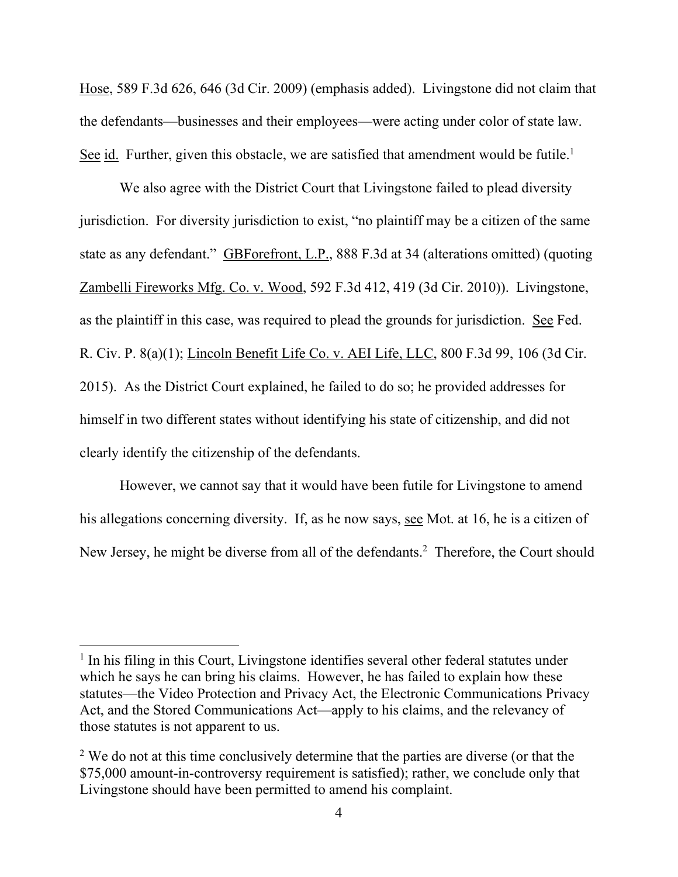Hose, 589 F.3d 626, 646 (3d Cir. 2009) (emphasis added). Livingstone did not claim that the defendants—businesses and their employees—were acting under color of state law. See id. Further, given this obstacle, we are satisfied that amendment would be futile.<sup>1</sup>

We also agree with the District Court that Livingstone failed to plead diversity jurisdiction. For diversity jurisdiction to exist, "no plaintiff may be a citizen of the same state as any defendant." GBForefront, L.P., 888 F.3d at 34 (alterations omitted) (quoting Zambelli Fireworks Mfg. Co. v. Wood, 592 F.3d 412, 419 (3d Cir. 2010)). Livingstone, as the plaintiff in this case, was required to plead the grounds for jurisdiction. See Fed. R. Civ. P. 8(a)(1); Lincoln Benefit Life Co. v. AEI Life, LLC, 800 F.3d 99, 106 (3d Cir. 2015). As the District Court explained, he failed to do so; he provided addresses for himself in two different states without identifying his state of citizenship, and did not clearly identify the citizenship of the defendants.

However, we cannot say that it would have been futile for Livingstone to amend his allegations concerning diversity. If, as he now says, see Mot. at 16, he is a citizen of New Jersey, he might be diverse from all of the defendants.<sup>2</sup> Therefore, the Court should

<sup>&</sup>lt;sup>1</sup> In his filing in this Court, Livingstone identifies several other federal statutes under which he says he can bring his claims. However, he has failed to explain how these statutes—the Video Protection and Privacy Act, the Electronic Communications Privacy Act, and the Stored Communications Act—apply to his claims, and the relevancy of those statutes is not apparent to us.

 $2$  We do not at this time conclusively determine that the parties are diverse (or that the \$75,000 amount-in-controversy requirement is satisfied); rather, we conclude only that Livingstone should have been permitted to amend his complaint.